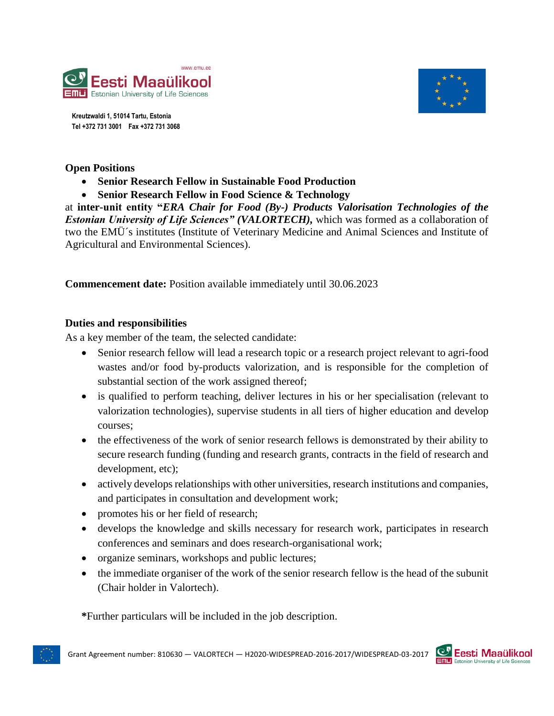



**Kreutzwaldi 1, 51014 Tartu, Estonia Tel +372 731 3001 Fax +372 731 3068**

### **Open Positions**

**Senior Research Fellow in Sustainable Food Production**

**Senior Research Fellow in Food Science & Technology**

at **inter-unit entity "***ERA Chair for Food (By-) Products Valorisation Technologies of the Estonian University of Life Sciences" (VALORTECH),* which was formed as a collaboration of two the EMÜ´s institutes (Institute of Veterinary Medicine and Animal Sciences and Institute of Agricultural and Environmental Sciences).

**Commencement date:** Position available immediately until 30.06.2023

### **Duties and responsibilities**

As a key member of the team, the selected candidate:

- Senior research fellow will lead a research topic or a research project relevant to agri-food wastes and/or food by-products valorization, and is responsible for the completion of substantial section of the work assigned thereof;
- is qualified to perform teaching, deliver lectures in his or her specialisation (relevant to valorization technologies), supervise students in all tiers of higher education and develop courses;
- the effectiveness of the work of senior research fellows is demonstrated by their ability to secure research funding (funding and research grants, contracts in the field of research and development, etc);
- actively develops relationships with other universities, research institutions and companies, and participates in consultation and development work;
- promotes his or her field of research;
- develops the knowledge and skills necessary for research work, participates in research conferences and seminars and does research-organisational work;
- organize seminars, workshops and public lectures;
- the immediate organiser of the work of the senior research fellow is the head of the subunit (Chair holder in Valortech).

**\***Further particulars will be included in the job description.



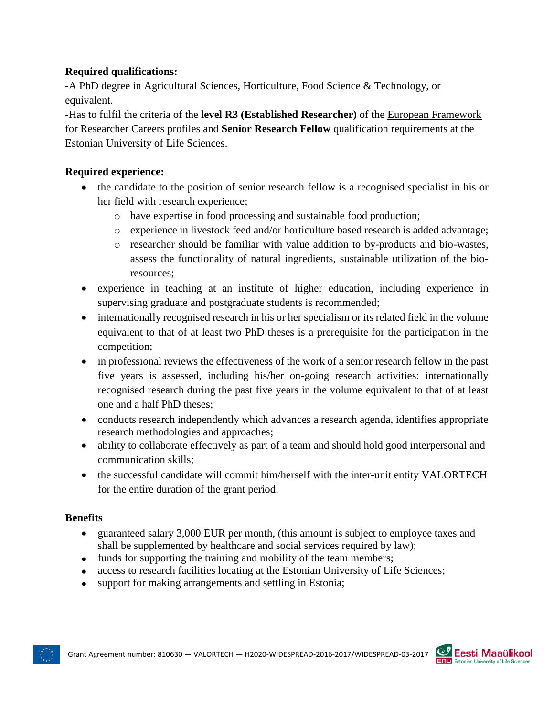# **Required qualifications:**

-A PhD degree in Agricultural Sciences, Horticulture, Food Science & Technology, or equivalent.

-Has to fulfil the criteria of the **level R3 (Established Researcher)** of the [European Framework](https://euraxess.ec.europa.eu/europe/career-development/training-researchers/research-profiles-descriptors)  [for Researcher Careers profiles](https://euraxess.ec.europa.eu/europe/career-development/training-researchers/research-profiles-descriptors) and **Senior Research Fellow** qualification requirements [at the](https://intra.emu.ee/userfiles/personal/Job%20descriptions%202014.pdf)  [Estonian University of Life Sciences.](https://intra.emu.ee/userfiles/personal/Job%20descriptions%202014.pdf)

# **Required experience:**

- the candidate to the position of senior research fellow is a recognised specialist in his or her field with research experience;
	- o have expertise in food processing and sustainable food production;
	- o experience in livestock feed and/or horticulture based research is added advantage;
	- o researcher should be familiar with value addition to by-products and bio-wastes, assess the functionality of natural ingredients, sustainable utilization of the bioresources;
- experience in teaching at an institute of higher education, including experience in supervising graduate and postgraduate students is recommended;
- internationally recognised research in his or her specialism or its related field in the volume equivalent to that of at least two PhD theses is a prerequisite for the participation in the competition;
- in professional reviews the effectiveness of the work of a senior research fellow in the past five years is assessed, including his/her on-going research activities: internationally recognised research during the past five years in the volume equivalent to that of at least one and a half PhD theses;
- conducts research independently which advances a research agenda, identifies appropriate research methodologies and approaches;
- ability to collaborate effectively as part of a team and should hold good interpersonal and communication skills;
- the successful candidate will commit him/herself with the inter-unit entity VALORTECH for the entire duration of the grant period.

# **Benefits**

- guaranteed salary 3,000 EUR per month, (this amount is subject to employee taxes and shall be supplemented by healthcare and social services required by law);
- funds for supporting the training and mobility of the team members;
- access to research facilities locating at the Estonian University of Life Sciences;
- support for making arrangements and settling in Estonia;